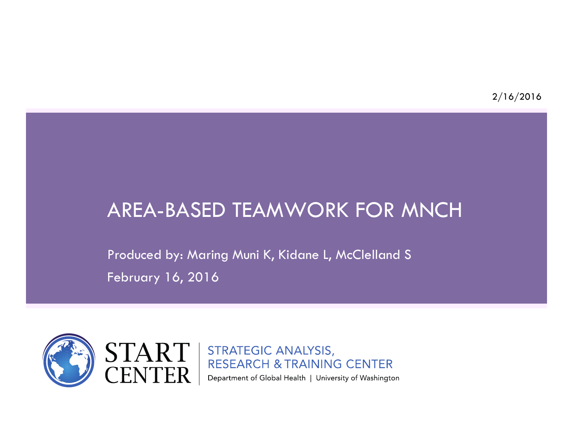# AREA-BASED TEAMWORK FOR MNCH

Produced by: Maring Muni K, Kidane L, McClelland S February 16, 2016

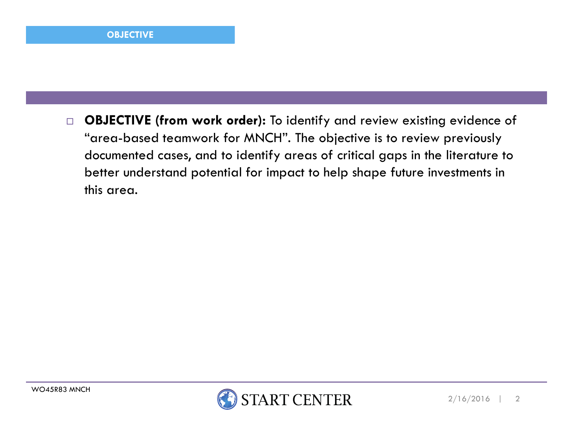$\Box$  OBJECTIVE (from work order): To identify and review existing evidence of "area-based teamwork for MNCH". The objective is to review previously documented cases, and to identify areas of critical gaps in the literature to better understand potential for impact to help shape future investments in this area.

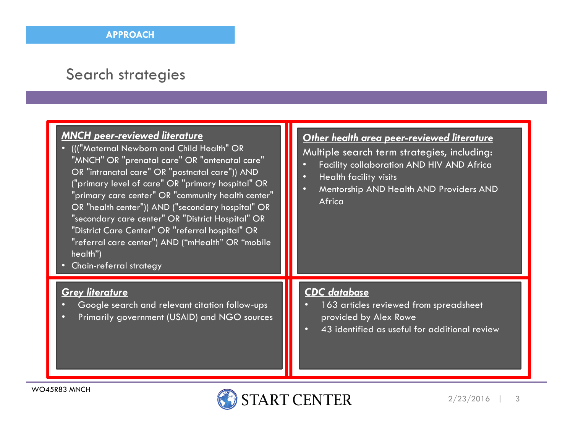#### Search strategies

| <b>MNCH peer-reviewed literature</b><br>• ((("Maternal Newborn and Child Health" OR<br>"MNCH" OR "prenatal care" OR "antenatal care"<br>OR "intranatal care" OR "postnatal care")) AND<br>("primary level of care" OR "primary hospital" OR<br>"primary care center" OR "community health center"<br>OR "health center")) AND ("secondary hospital" OR<br>"secondary care center" OR "District Hospital" OR<br>"District Care Center" OR "referral hospital" OR<br>"referral care center") AND ("mHealth" OR "mobile<br>health")<br>• Chain-referral strategy | Other health area peer-reviewed literature<br>Multiple search term strategies, including:<br>Facility collaboration AND HIV AND Africa<br><b>Health facility visits</b><br>Mentorship AND Health AND Providers AND<br>Africa |
|---------------------------------------------------------------------------------------------------------------------------------------------------------------------------------------------------------------------------------------------------------------------------------------------------------------------------------------------------------------------------------------------------------------------------------------------------------------------------------------------------------------------------------------------------------------|------------------------------------------------------------------------------------------------------------------------------------------------------------------------------------------------------------------------------|
| <b>Grey literature</b>                                                                                                                                                                                                                                                                                                                                                                                                                                                                                                                                        | <b>CDC</b> database                                                                                                                                                                                                          |
| Google search and relevant citation follow-ups                                                                                                                                                                                                                                                                                                                                                                                                                                                                                                                | 163 articles reviewed from spreadsheet                                                                                                                                                                                       |
| Primarily government (USAID) and NGO sources                                                                                                                                                                                                                                                                                                                                                                                                                                                                                                                  | provided by Alex Rowe                                                                                                                                                                                                        |
| о                                                                                                                                                                                                                                                                                                                                                                                                                                                                                                                                                             | 43 identified as useful for additional review                                                                                                                                                                                |

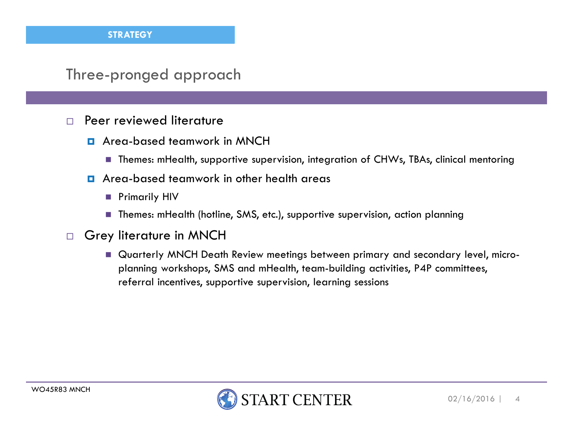#### Three-pronged approach

- $\Box$  Peer reviewed literature
	- **D** Area-based teamwork in MNCH
		- $\blacksquare$  Themes: mHealth, supportive supervision, integration of CHWs, TBAs, clinical mentoring
	- **n** Area-based teamwork in other health areas
		- Primarily HIV
		- Themes: mHealth (hotline, SMS, etc.), supportive supervision, action planning
- $\Box$  Grey literature in MNCH
	- Quarterly MNCH Death Review meetings between primary and secondary level, microplanning workshops, SMS and mHealth, team-building activities, P4P committees, referral incentives, supportive supervision, learning sessions

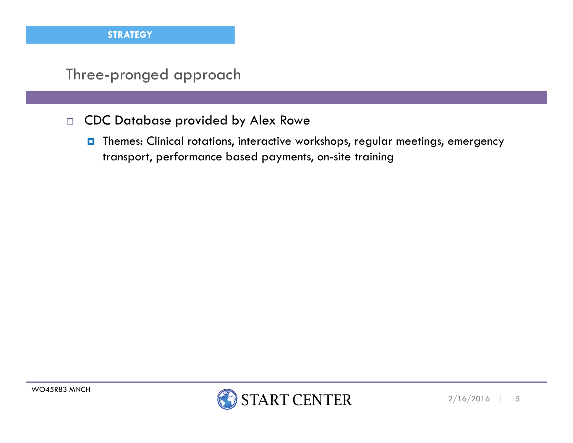#### Three-pronged approach

- $\Box$  CDC Database provided by Alex Rowe
	- **T** Themes: Clinical rotations, interactive workshops, regular meetings, emergency transport, performance based payments, on-site training

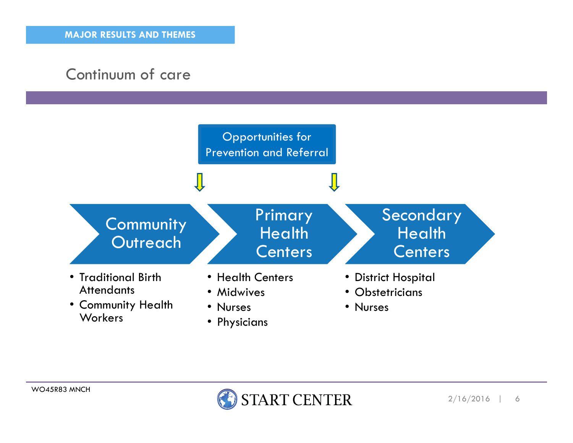## Continuum of care



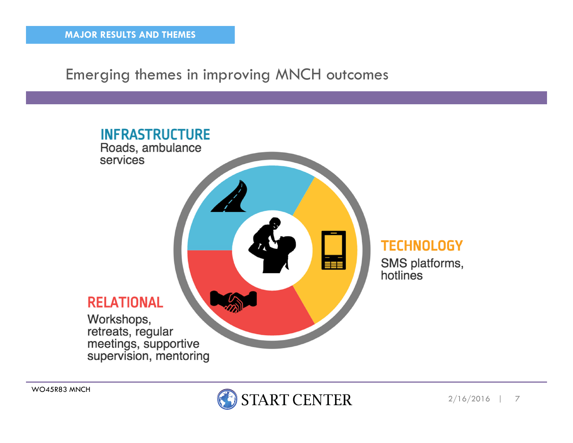Emerging themes in improving MNCH outcomes



WO45R83 MNCH

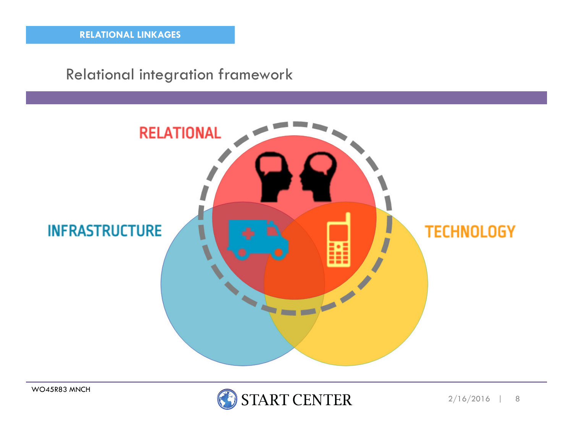#### Relational integration framework



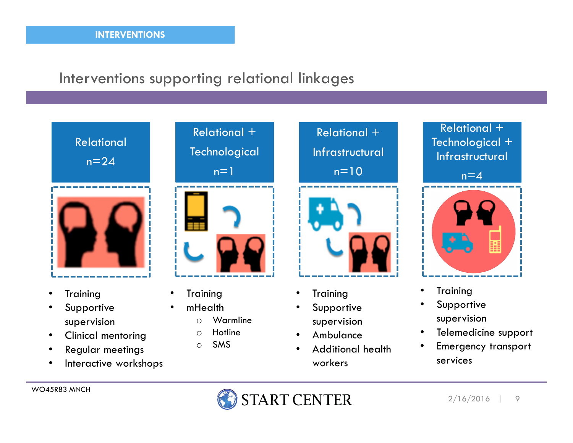#### Interventions supporting relational linkages



- •**Training**
- Supportive •supervision
- Clinical mentoring•
- Regular meetings •
- •Interactive workshops



**Training** 

•

•

- mHealth
	- Warmline  $\Omega$
	- oHotline
	- oSMS



- •**Training**
- Supportive •supervision
- Ambulance•
- Additional health •workers



- $\bullet$ Training
- Supportive •supervision
- Telemedicine support  $\bullet$
- • Emergency transport services

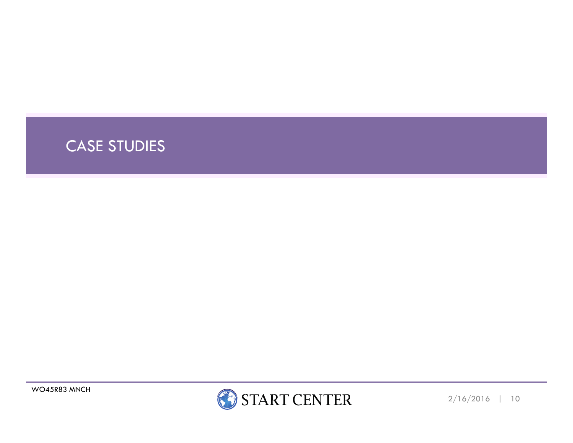

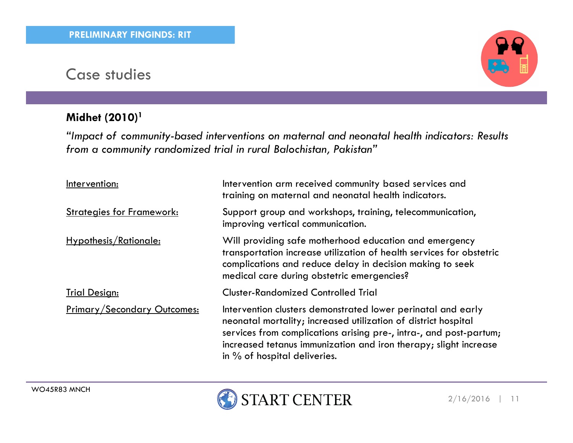#### Midhet (2010)<sup>1</sup>



"Impact of community-based interventions on maternal and neonatal health indicators: Results from a community randomized trial in rural Balochistan, Pakistan"

| Intervention:                      | Intervention arm received community based services and<br>training on maternal and neonatal health indicators.                                                                                                                                                                                             |
|------------------------------------|------------------------------------------------------------------------------------------------------------------------------------------------------------------------------------------------------------------------------------------------------------------------------------------------------------|
| <b>Strategies for Framework:</b>   | Support group and workshops, training, telecommunication,<br>improving vertical communication.                                                                                                                                                                                                             |
| Hypothesis/Rationale:              | Will providing safe motherhood education and emergency<br>transportation increase utilization of health services for obstetric<br>complications and reduce delay in decision making to seek<br>medical care during obstetric emergencies?                                                                  |
| <b>Trial Design:</b>               | <b>Cluster-Randomized Controlled Trial</b>                                                                                                                                                                                                                                                                 |
| <b>Primary/Secondary Outcomes:</b> | Intervention clusters demonstrated lower perinatal and early<br>neonatal mortality; increased utilization of district hospital<br>services from complications arising pre-, intra-, and post-partum;<br>increased tetanus immunization and iron therapy; slight increase<br>in $%$ of hospital deliveries. |

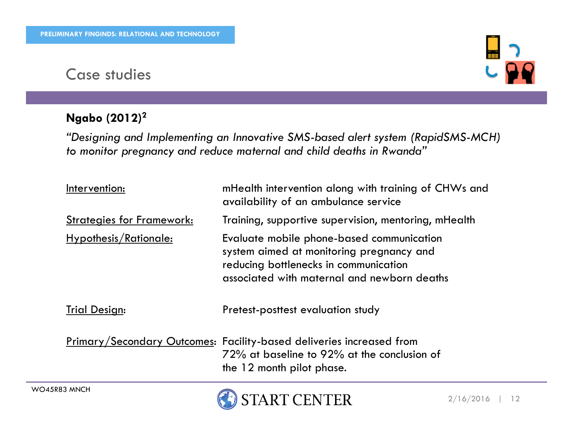#### Ngabo (2012)<sup>2</sup>



"Designing and Implementing an Innovative SMS-based alert system (RapidSMS-MCH)to monitor pregnancy and reduce maternal and child deaths in Rwanda"

| Intervention:                    | mHealth intervention along with training of CHWs and<br>availability of an ambulance service                                                                                  |
|----------------------------------|-------------------------------------------------------------------------------------------------------------------------------------------------------------------------------|
| <b>Strategies for Framework:</b> | Training, supportive supervision, mentoring, mHealth                                                                                                                          |
| <u>Hypothesis/Rationale:</u>     | Evaluate mobile phone-based communication<br>system aimed at monitoring pregnancy and<br>reducing bottlenecks in communication<br>associated with maternal and newborn deaths |
| <b>Trial Design:</b>             | Pretest-posttest evaluation study                                                                                                                                             |
|                                  | <u>Primary/Secondary Outcomes</u> : Facility-based deliveries increased from<br>72% at baseline to 92% at the conclusion of<br>the 12 month pilot phase.                      |

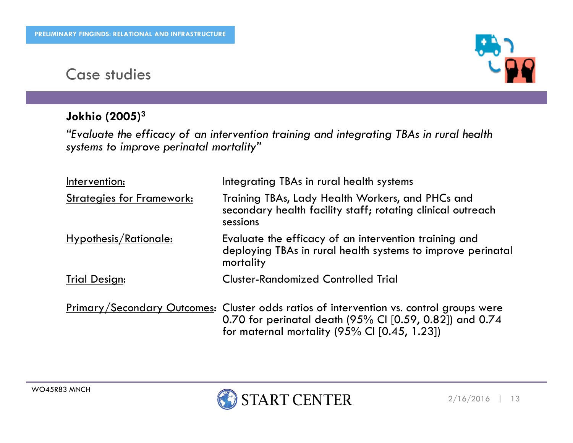#### Jokhio (2005)<sup>3</sup>

"Evaluate the efficacy of an intervention training and integrating TBAs in rural health systems to improve perinatal mortality"

| Intervention:                    | Integrating TBAs in rural health systems                                                                                                                                                                         |
|----------------------------------|------------------------------------------------------------------------------------------------------------------------------------------------------------------------------------------------------------------|
| <b>Strategies for Framework:</b> | Training TBAs, Lady Health Workers, and PHCs and<br>secondary health facility staff; rotating clinical outreach<br>sessions                                                                                      |
| Hypothesis/Rationale:            | Evaluate the efficacy of an intervention training and<br>deploying TBAs in rural health systems to improve perinatal<br>mortality                                                                                |
| <b>Trial Design:</b>             | <b>Cluster-Randomized Controlled Trial</b>                                                                                                                                                                       |
|                                  | <u>Primary/Secondary Outcomes</u> : Cluster odds ratios of intervention vs. control groups were<br>0.70 for perinatal death (95% CI [0.59, 0.82]) and 0.74<br>for maternal mortality $(95\%$ CI $[0.45, 1.23]$ ) |



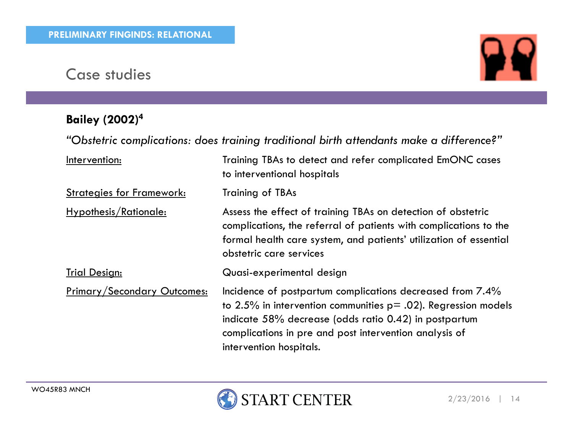# Bailey (2002)<sup>4</sup>



"Obstetric complications: does training traditional birth attendants make a difference?"

| Intervention:                      | Training TBAs to detect and refer complicated EmONC cases<br>to interventional hospitals                                                                                                                                                                                      |
|------------------------------------|-------------------------------------------------------------------------------------------------------------------------------------------------------------------------------------------------------------------------------------------------------------------------------|
| <b>Strategies for Framework:</b>   | <b>Training of TBAs</b>                                                                                                                                                                                                                                                       |
| Hypothesis/Rationale:              | Assess the effect of training TBAs on detection of obstetric<br>complications, the referral of patients with complications to the<br>formal health care system, and patients' utilization of essential<br>obstetric care services                                             |
| <b>Trial Design:</b>               | Quasi-experimental design                                                                                                                                                                                                                                                     |
| <b>Primary/Secondary Outcomes:</b> | Incidence of postpartum complications decreased from 7.4%<br>to 2.5% in intervention communities $p = .02$ ). Regression models<br>indicate 58% decrease (odds ratio 0.42) in postpartum<br>complications in pre and post intervention analysis of<br>intervention hospitals. |

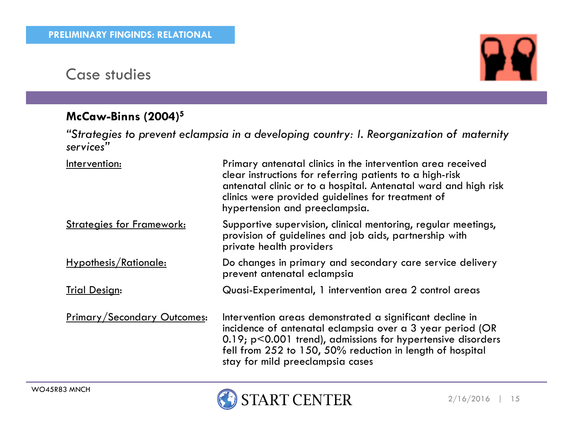#### McCaw-Binns (2004)<sup>5</sup>

"Strategies to prevent eclampsia in a developing country: I. Reorganization of maternity services"

| Intervention:                      | Primary antenatal clinics in the intervention area received<br>clear instructions for referring patients to a high-risk<br>antenatal clinic or to a hospital. Antenatal ward and high risk<br>clinics were provided guidelines for treatment of<br>hypertension and preeclampsia.        |
|------------------------------------|------------------------------------------------------------------------------------------------------------------------------------------------------------------------------------------------------------------------------------------------------------------------------------------|
| <b>Strategies for Framework:</b>   | Supportive supervision, clinical mentoring, regular meetings,<br>provision of guidelines and job aids, partnership with<br>private health providers                                                                                                                                      |
| Hypothesis/Rationale:              | Do changes in primary and secondary care service delivery<br>prevent antenatal eclampsia                                                                                                                                                                                                 |
| <b>Trial Design:</b>               | Quasi-Experimental, 1 intervention area 2 control areas                                                                                                                                                                                                                                  |
| <b>Primary/Secondary Outcomes:</b> | Intervention areas demonstrated a significant decline in<br>incidence of antenatal eclampsia over a 3 year period (OR<br>$0.19$ ; p<0.001 trend), admissions for hypertensive disorders<br>fell from 252 to 150, 50% reduction in length of hospital<br>stay for mild preeclampsia cases |



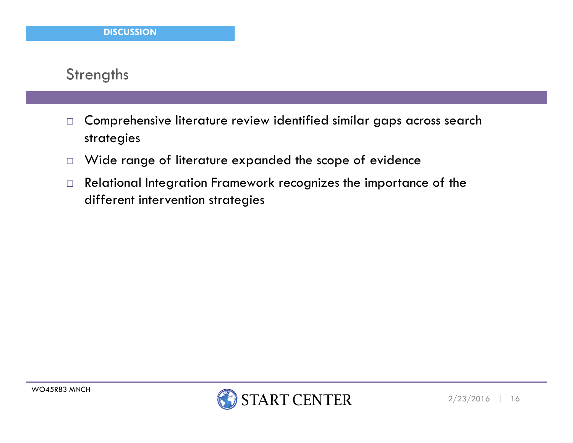#### **Strengths**

- $\Box$  Comprehensive literature review identified similar gaps across search strategies
- $\Box$ Wide range of literature expanded the scope of evidence
- $\Box$  Relational Integration Framework recognizes the importance of the different intervention strategies

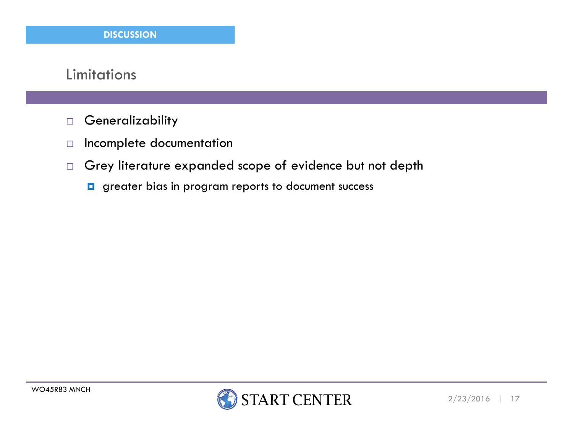#### Limitations

- $\Box$ **Generalizability**
- $\Box$ Incomplete documentation
- $\Box$  Grey literature expanded scope of evidence but not depth
	- **g** greater bias in program reports to document success

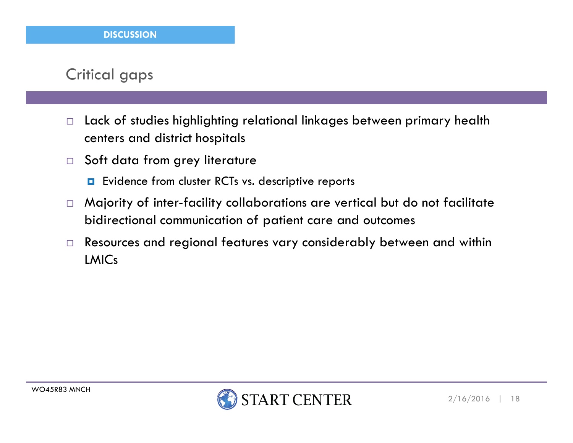#### Critical gaps

- $\Box$  Lack of studies highlighting relational linkages between primary health centers and district hospitals
- $\Box$  Soft data from grey literature
	- **E** Evidence from cluster RCTs vs. descriptive reports
- $\Box$  Majority of inter-facility collaborations are vertical but do not facilitate bidirectional communication of patient care and outcomes
- $\Box$  Resources and regional features vary considerably between and within LMICs

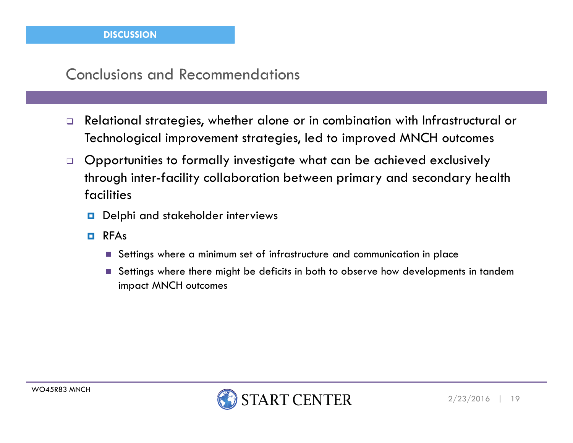#### Conclusions and Recommendations

- $\Box$  Relational strategies, whether alone or in combination with Infrastructural or Technological improvement strategies, led to improved MNCH outcomes
- $\Box$  Opportunities to formally investigate what can be achieved exclusively through inter-facility collaboration between primary and secondary health facilities
	- **D** Delphi and stakeholder interviews
	- **o** RFAs
		- $\blacksquare$  Settings where a minimum set of infrastructure and communication in place
		- $\blacksquare$  Settings where there might be deficits in both to observe how developments in tandem impact MNCH outcomes

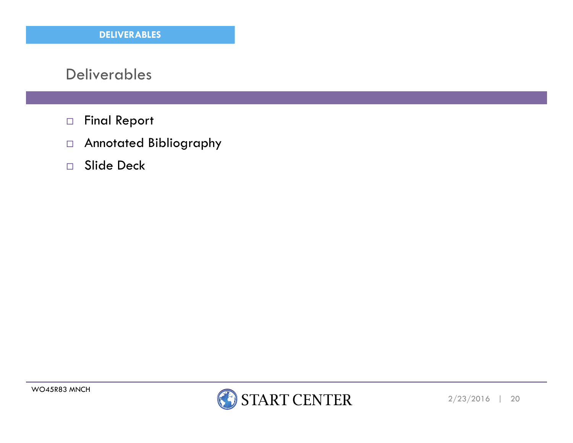#### Deliverables

- $\Box$ Final Report
- Annotated Bibliography
- $\Box$ Slide Deck